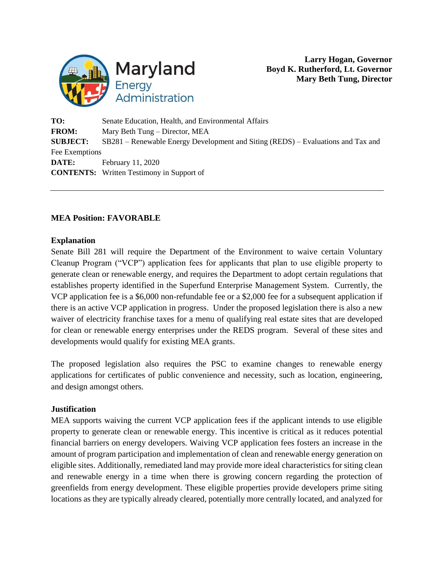

**Larry Hogan, Governor Boyd K. Rutherford, Lt. Governor Mary Beth Tung, Director**

**TO:** Senate Education, Health, and Environmental Affairs **FROM:** Mary Beth Tung – Director, MEA **SUBJECT:** SB281 – Renewable Energy Development and Siting (REDS) – Evaluations and Tax and Fee Exemptions **DATE:** February 11, 2020 **CONTENTS:** Written Testimony in Support of

## **MEA Position: FAVORABLE**

## **Explanation**

Senate Bill 281 will require the Department of the Environment to waive certain Voluntary Cleanup Program ("VCP") application fees for applicants that plan to use eligible property to generate clean or renewable energy, and requires the Department to adopt certain regulations that establishes property identified in the Superfund Enterprise Management System. Currently, the VCP application fee is a \$6,000 non-refundable fee or a \$2,000 fee for a subsequent application if there is an active VCP application in progress. Under the proposed legislation there is also a new waiver of electricity franchise taxes for a menu of qualifying real estate sites that are developed for clean or renewable energy enterprises under the REDS program. Several of these sites and developments would qualify for existing MEA grants.

The proposed legislation also requires the PSC to examine changes to renewable energy applications for certificates of public convenience and necessity, such as location, engineering, and design amongst others.

## **Justification**

MEA supports waiving the current VCP application fees if the applicant intends to use eligible property to generate clean or renewable energy. This incentive is critical as it reduces potential financial barriers on energy developers. Waiving VCP application fees fosters an increase in the amount of program participation and implementation of clean and renewable energy generation on eligible sites. Additionally, remediated land may provide more ideal characteristics for siting clean and renewable energy in a time when there is growing concern regarding the protection of greenfields from energy development. These eligible properties provide developers prime siting locations as they are typically already cleared, potentially more centrally located, and analyzed for